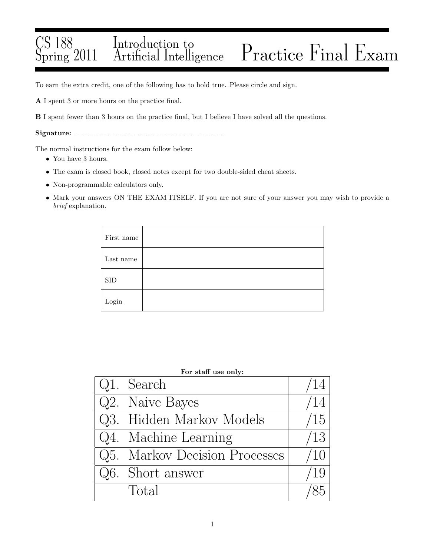### CS 188 Spring 2011 Introduction to Practice Final Exam

To earn the extra credit, one of the following has to hold true. Please circle and sign.

A I spent 3 or more hours on the practice final.

B I spent fewer than 3 hours on the practice final, but I believe I have solved all the questions.

Signature:

The normal instructions for the exam follow below:

- $\bullet\,$  You have 3 hours.
- The exam is closed book, closed notes except for two double-sided cheat sheets.
- Non-programmable calculators only.
- Mark your answers ON THE EXAM ITSELF. If you are not sure of your answer you may wish to provide a *brief* explanation.

| First name             |  |
|------------------------|--|
| Last name              |  |
| ${\rm SID}$            |  |
| $\operatorname{Login}$ |  |

| For staff use only:           |               |  |  |  |  |  |
|-------------------------------|---------------|--|--|--|--|--|
| Q1. Search                    | ΄14           |  |  |  |  |  |
| Q2. Naive Bayes               | $^{\prime}14$ |  |  |  |  |  |
| Q3. Hidden Markov Models      | /15           |  |  |  |  |  |
| Q4. Machine Learning          | /13           |  |  |  |  |  |
| Q5. Markov Decision Processes | /10           |  |  |  |  |  |
| Q6. Short answer              | /19           |  |  |  |  |  |
| Total                         |               |  |  |  |  |  |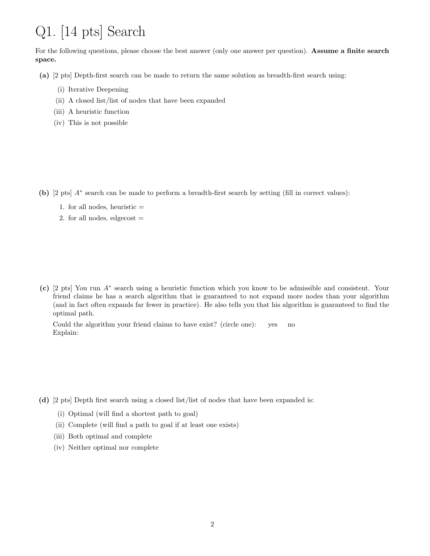# Q1. [14 pts] Search

For the following questions, please choose the best answer (only one answer per question). Assume a finite search space.

(a) [2 pts] Depth-first search can be made to return the same solution as breadth-first search using:

- (i) Iterative Deepening
- (ii) A closed list/list of nodes that have been expanded
- (iii) A heuristic function
- (iv) This is not possible

(b) [2 pts] A∗ search can be made to perform a breadth-first search by setting (fill in correct values):

- 1. for all nodes, heuristic  $=$
- 2. for all nodes, edgecost  $=$

(c) [2 pts] You run A<sup>∗</sup> search using a heuristic function which you know to be admissible and consistent. Your friend claims he has a search algorithm that is guaranteed to not expand more nodes than your algorithm (and in fact often expands far fewer in practice). He also tells you that his algorithm is guaranteed to find the optimal path.

Could the algorithm your friend claims to have exist? (circle one): yes no Explain:

- (d) [2 pts] Depth first search using a closed list/list of nodes that have been expanded is:
	- (i) Optimal (will find a shortest path to goal)
	- (ii) Complete (will find a path to goal if at least one exists)
	- (iii) Both optimal and complete
	- (iv) Neither optimal nor complete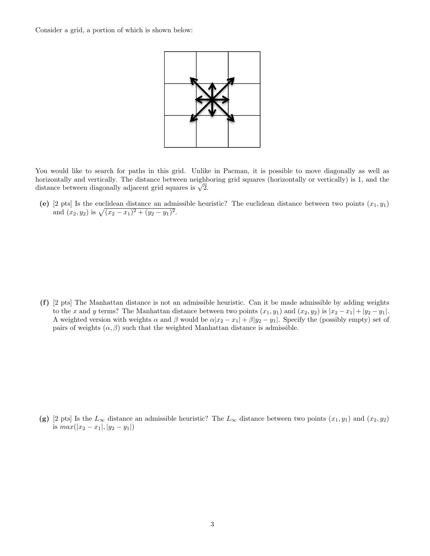Consider a grid, a portion of which is shown below:



You would like to search for paths in this grid. Unlike in Pacman, it is possible to move diagonally as well as horizontally and vertically. The distance between neighboring grid squares (horizontally or vertically) is 1, and the distance between diagonally adjacent grid squares is  $\sqrt{2}$ .

(e) [2 pts] Is the euclidean distance an admissible heuristic? The euclidean distance between two points  $(x_1, y_1)$ and  $(x_2, y_2)$  is  $\sqrt{(x_2 - x_1)^2 + (y_2 - y_1)^2}$ .

(f) [2 pts] The Manhattan distance is not an admissible heuristic. Can it be made admissible by adding weights to the x and y terms? The Manhattan distance between two points  $(x_1, y_1)$  and  $(x_2, y_2)$  is  $|x_2 - x_1| + |y_2 - y_1|$ . A weighted version with weights  $\alpha$  and  $\beta$  would be  $\alpha |x_2 - x_1| + \beta |y_2 - y_1|$ . Specify the (possibly empty) set of pairs of weights  $(\alpha, \beta)$  such that the weighted Manhattan distance is admissible.

(g) [2 pts] Is the  $L_{\infty}$  distance an admissible heuristic? The  $L_{\infty}$  distance between two points  $(x_1, y_1)$  and  $(x_2, y_2)$ is  $max(|x_2 - x_1|, |y_2 - y_1|)$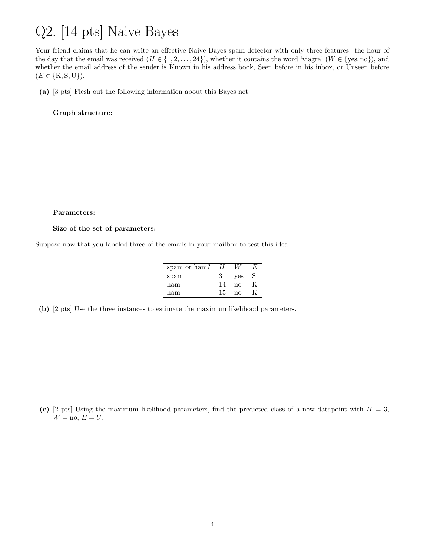## Q2. [14 pts] Naive Bayes

Your friend claims that he can write an effective Naive Bayes spam detector with only three features: the hour of the day that the email was received  $(H \in \{1, 2, ..., 24\})$ , whether it contains the word 'viagra'  $(W \in \{yes, no\})$ , and whether the email address of the sender is Known in his address book, Seen before in his inbox, or Unseen before  $(E \in \{K, S, U\}).$ 

(a) [3 pts] Flesh out the following information about this Bayes net:

Graph structure:

#### Parameters:

### Size of the set of parameters:

Suppose now that you labeled three of the emails in your mailbox to test this idea:

| spam or ham? | Н  |            | E |
|--------------|----|------------|---|
| spam         | 3  | <b>ves</b> | S |
| ham          | 14 | no         |   |
| ham          | 15 | no         |   |

(b) [2 pts] Use the three instances to estimate the maximum likelihood parameters.

(c) [2 pts] Using the maximum likelihood parameters, find the predicted class of a new datapoint with  $H = 3$ ,  $W = \text{no}, E = U.$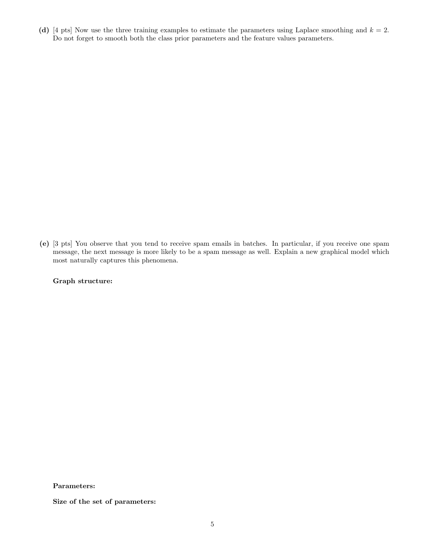(d) [4 pts] Now use the three training examples to estimate the parameters using Laplace smoothing and  $k = 2$ . Do not forget to smooth both the class prior parameters and the feature values parameters.

(e) [3 pts] You observe that you tend to receive spam emails in batches. In particular, if you receive one spam message, the next message is more likely to be a spam message as well. Explain a new graphical model which most naturally captures this phenomena.

### Graph structure:

Parameters:

Size of the set of parameters: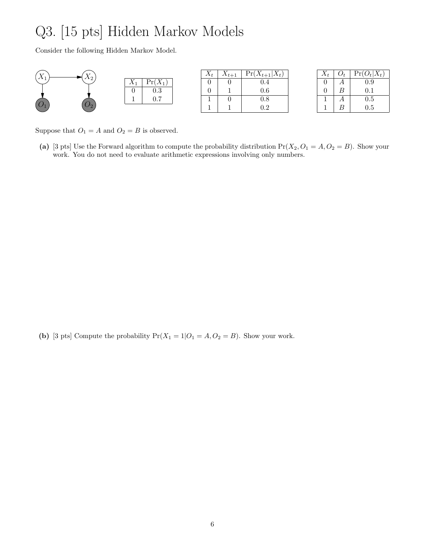# Q3. [15 pts] Hidden Markov Models

Consider the following Hidden Markov Model.

| T              | $\mathbf{r}$ |              | $\Lambda_t$ | $\Lambda_{t+1}$ | $Pr(X_{t+1})$<br>$ \Delta t $ |
|----------------|--------------|--------------|-------------|-----------------|-------------------------------|
| $\overline{ }$ | $\Lambda_2$  | $\mathbf{v}$ |             |                 |                               |
|                |              | 0.3          |             |                 | 0.6                           |
|                |              | ∩ 7<br>∪. ≀  |             |                 | U.ð                           |
|                |              |              |             |                 | . <u>. .</u>                  |

| $X_t$ | O+ | $Pr(O_t X_t)$ |
|-------|----|---------------|
| 0     |    | 0.9           |
| 0     | B  | 0.1           |
|       | А  | 0.5           |
|       | B  | 0.5           |

Suppose that  ${\cal O}_1 = A$  and  ${\cal O}_2 = B$  is observed.

(a) [3 pts] Use the Forward algorithm to compute the probability distribution  $Pr(X_2, O_1 = A, O_2 = B)$ . Show your work. You do not need to evaluate arithmetic expressions involving only numbers.

(b) [3 pts] Compute the probability  $Pr(X_1 = 1|O_1 = A, O_2 = B)$ . Show your work.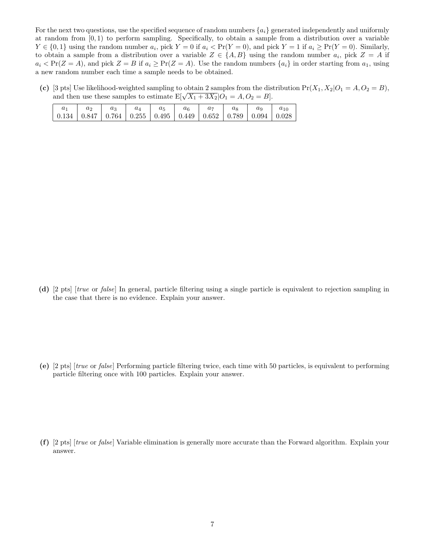For the next two questions, use the specified sequence of random numbers  $\{a_i\}$  generated independently and uniformly at random from  $[0, 1)$  to perform sampling. Specifically, to obtain a sample from a distribution over a variable  $Y \in \{0, 1\}$  using the random number  $a_i$ , pick  $Y = 0$  if  $a_i < Pr(Y = 0)$ , and pick  $Y = 1$  if  $a_i \ge Pr(Y = 0)$ . Similarly, to obtain a sample from a distribution over a variable  $Z \in \{A, B\}$  using the random number  $a_i$ , pick  $Z = A$  if  $a_i$  < Pr(Z = A), and pick Z = B if  $a_i \ge Pr(Z = A)$ . Use the random numbers  $\{a_i\}$  in order starting from  $a_1$ , using a new random number each time a sample needs to be obtained.

(c) [3 pts] Use likelihood-weighted sampling to obtain 2 samples from the distribution  $Pr(X_1, X_2|O_1 = A, O_2 = B)$ , and then use these samples to estimate  $E[\sqrt{X_1 + 3X_2}|O_1 = A, O_2 = B].$ 

| a <sub>1</sub>                                                                                                                    | $\begin{array}{cc} a_2 \end{array}$ | $a_3$ | $a_4$   $a_5$ | $a_6$ | $a_7$ | $a_8$ | a <sub>9</sub> |  |
|-----------------------------------------------------------------------------------------------------------------------------------|-------------------------------------|-------|---------------|-------|-------|-------|----------------|--|
| $\mid$ 0.134 $\mid$ 0.847 $\mid$ 0.764 $\mid$ 0.255 $\mid$ 0.495 $\mid$ 0.449 $\mid$ 0.652 $\mid$ 0.789 $\mid$ 0.094 $\mid$ 0.028 |                                     |       |               |       |       |       |                |  |

(d) [2 pts] [*true* or *false*] In general, particle filtering using a single particle is equivalent to rejection sampling in the case that there is no evidence. Explain your answer.

(e) [2 pts] [*true* or *false*] Performing particle filtering twice, each time with 50 particles, is equivalent to performing particle filtering once with 100 particles. Explain your answer.

(f) [2 pts] [*true* or *false*] Variable elimination is generally more accurate than the Forward algorithm. Explain your answer.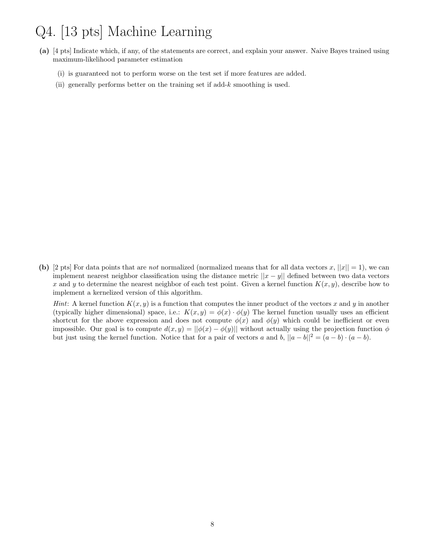### Q4. [13 pts] Machine Learning

- (a) [4 pts] Indicate which, if any, of the statements are correct, and explain your answer. Naive Bayes trained using maximum-likelihood parameter estimation
	- (i) is guaranteed not to perform worse on the test set if more features are added.
	- (ii) generally performs better on the training set if add-k smoothing is used.

(b) [2 pts] For data points that are *not* normalized (normalized means that for all data vectors  $x$ ,  $||x|| = 1$ ), we can implement nearest neighbor classification using the distance metric  $||x - y||$  defined between two data vectors x and y to determine the nearest neighbor of each test point. Given a kernel function  $K(x, y)$ , describe how to implement a kernelized version of this algorithm.

*Hint*: A kernel function  $K(x, y)$  is a function that computes the inner product of the vectors x and y in another (typically higher dimensional) space, i.e.:  $K(x, y) = \phi(x) \cdot \phi(y)$  The kernel function usually uses an efficient shortcut for the above expression and does not compute  $\phi(x)$  and  $\phi(y)$  which could be inefficient or even impossible. Our goal is to compute  $d(x, y) = ||\phi(x) - \phi(y)||$  without actually using the projection function  $\phi$ but just using the kernel function. Notice that for a pair of vectors a and b,  $||a - b||^2 = (a - b) \cdot (a - b)$ .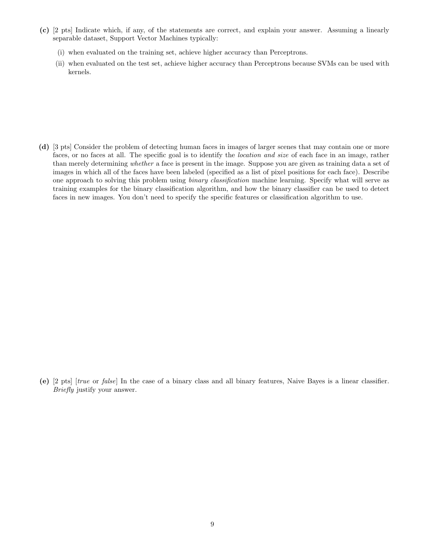- (c) [2 pts] Indicate which, if any, of the statements are correct, and explain your answer. Assuming a linearly separable dataset, Support Vector Machines typically:
	- (i) when evaluated on the training set, achieve higher accuracy than Perceptrons.
	- (ii) when evaluated on the test set, achieve higher accuracy than Perceptrons because SVMs can be used with kernels.

(d) [3 pts] Consider the problem of detecting human faces in images of larger scenes that may contain one or more faces, or no faces at all. The specific goal is to identify the *location and size* of each face in an image, rather than merely determining *whether* a face is present in the image. Suppose you are given as training data a set of images in which all of the faces have been labeled (specified as a list of pixel positions for each face). Describe one approach to solving this problem using *binary classification* machine learning. Specify what will serve as training examples for the binary classification algorithm, and how the binary classifier can be used to detect faces in new images. You don't need to specify the specific features or classification algorithm to use.

(e) [2 pts] [*true* or *false*] In the case of a binary class and all binary features, Naive Bayes is a linear classifier. *Briefly* justify your answer.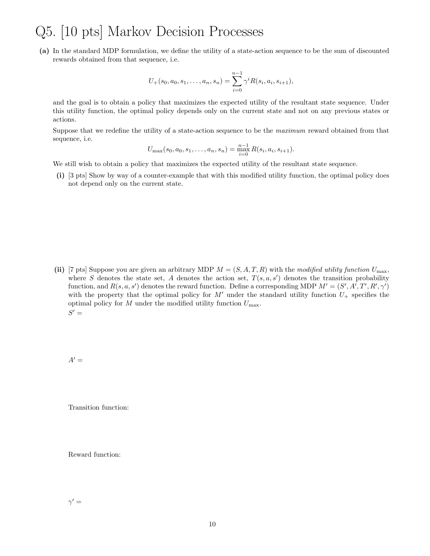### Q5. [10 pts] Markov Decision Processes

(a) In the standard MDP formulation, we define the utility of a state-action sequence to be the sum of discounted rewards obtained from that sequence, i.e.

$$
U_{+}(s_0, a_0, s_1, \ldots, a_n, s_n) = \sum_{i=0}^{n-1} \gamma^i R(s_i, a_i, s_{i+1}),
$$

and the goal is to obtain a policy that maximizes the expected utility of the resultant state sequence. Under this utility function, the optimal policy depends only on the current state and not on any previous states or actions.

Suppose that we redefine the utility of a state-action sequence to be the *maximum* reward obtained from that sequence, i.e.

$$
U_{\max}(s_0, a_0, s_1, \ldots, a_n, s_n) = \max_{i=0}^{n-1} R(s_i, a_i, s_{i+1}).
$$

We still wish to obtain a policy that maximizes the expected utility of the resultant state sequence.

(i) [3 pts] Show by way of a counter-example that with this modified utility function, the optimal policy does not depend only on the current state.

(ii) [7 pts] Suppose you are given an arbitrary MDP  $M = (S, A, T, R)$  with the *modified utility function*  $U_{\text{max}}$ , where S denotes the state set, A denotes the action set,  $T(s, a, s')$  denotes the transition probability function, and  $R(s, a, s')$  denotes the reward function. Define a corresponding MDP  $M' = (S', A', T', R', \gamma')$ with the property that the optimal policy for M' under the standard utility function  $U_+$  specifies the optimal policy for M under the modified utility function  $U_{\text{max}}$ .  $S' =$ 

 $A' =$ 

Transition function:

Reward function: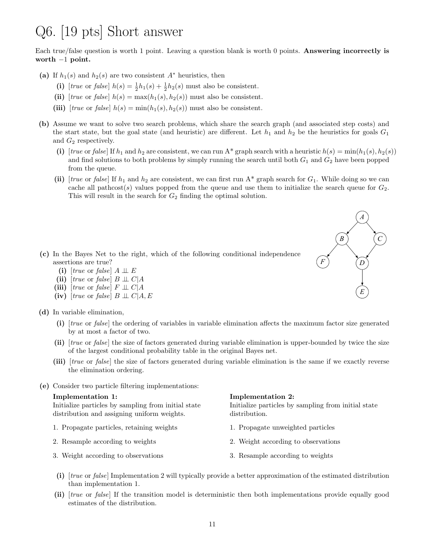### Q6. [19 pts] Short answer

Each true/false question is worth 1 point. Leaving a question blank is worth 0 points. Answering incorrectly is worth  $-1$  point.

- (a) If  $h_1(s)$  and  $h_2(s)$  are two consistent  $A^*$  heuristics, then
	- (i) [*true* or *false*]  $h(s) = \frac{1}{2}h_1(s) + \frac{1}{2}h_2(s)$  must also be consistent.
	- (ii) [*true* or *false*]  $h(s) = \max(h_1(s), h_2(s))$  must also be consistent.
	- (iii) [*true* or *false*]  $h(s) = min(h_1(s), h_2(s))$  must also be consistent.
- (b) Assume we want to solve two search problems, which share the search graph (and associated step costs) and the start state, but the goal state (and heuristic) are different. Let  $h_1$  and  $h_2$  be the heuristics for goals  $G_1$ and  $G_2$  respectively.
	- (i) [*true* or *false*] If  $h_1$  and  $h_2$  are consistent, we can run A\* graph search with a heuristic  $h(s) = \min(h_1(s), h_2(s))$ and find solutions to both problems by simply running the search until both  $G_1$  and  $G_2$  have been popped from the queue.
	- (ii)  $[true \text{ or } false]$  If  $h_1$  and  $h_2$  are consistent, we can first run A\* graph search for  $G_1$ . While doing so we can cache all pathcost(s) values popped from the queue and use them to initialize the search queue for  $G_2$ . This will result in the search for  $G_2$  finding the optimal solution.
		- *A B C F D E*

(c) In the Bayes Net to the right, which of the following conditional independence assertions are true?

- (i)  $[true \text{ or } false]$   $A \perp \!\!\!\perp E$
- (ii)  $[true \text{ or } false]$  B  $\perp \!\!\! \perp C \mid A$
- (iii)  $[true \text{ or } false]$   $F \perp \!\!\! \perp C | A$
- (iv)  $[true \text{ or } false]$   $B \perp \!\!\! \perp C | A, E$
- (d) In variable elimination,
	- (i) [*true* or *false*] the ordering of variables in variable elimination affects the maximum factor size generated by at most a factor of two.
	- (ii) [*true* or *false*] the size of factors generated during variable elimination is upper-bounded by twice the size of the largest conditional probability table in the original Bayes net.
	- (iii) [*true* or *false*] the size of factors generated during variable elimination is the same if we exactly reverse the elimination ordering.
- (e) Consider two particle filtering implementations:

#### Implementation 1:

Initialize particles by sampling from initial state distribution and assigning uniform weights.

- 1. Propagate particles, retaining weights
- 2. Resample according to weights
- 3. Weight according to observations

Implementation 2:

Initialize particles by sampling from initial state distribution.

- 1. Propagate unweighted particles
- 2. Weight according to observations
- 3. Resample according to weights
- (i) [*true* or *false*] Implementation 2 will typically provide a better approximation of the estimated distribution than implementation 1.
- (ii) [*true* or *false*] If the transition model is deterministic then both implementations provide equally good estimates of the distribution.